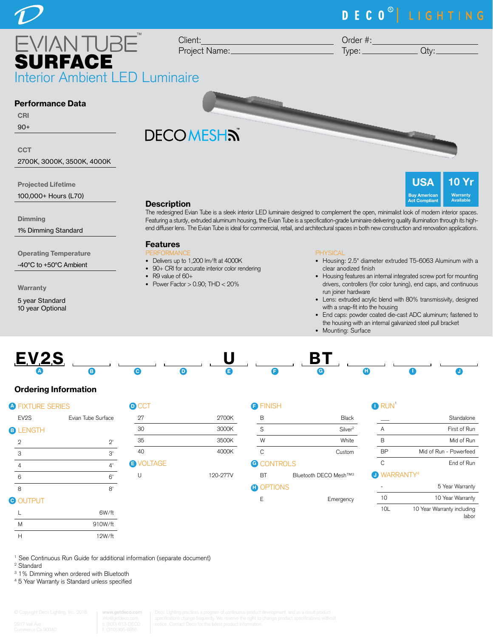# DECO<sup>®</sup> LIGHTING

EVIANTUBE SURFACE Interior Ambient LED Luminaire

Client: Project Name:

Order #:

Type: \_\_\_\_\_\_\_\_\_\_\_\_\_\_\_\_\_ Qty: \_

**USA** 

**Act Compliant** 

10 Yr **Warranty** Available

# Performance Data

# CRI

90+

#### **CCT**

2700K, 3000K, 3500K, 4000K

Projected Lifetime

100,000+ Hours (L70)

**Dimming** 

1% Dimming Standard

Operating Temperature

-40°C to +50°C Ambient

Warranty

5 year Standard 10 year Optional

# **DECOMESHS**



The redesigned Evian Tube is a sleek interior LED luminaire designed to complement the open, minimalist look of modern interior spaces. Featuring a sturdy, extruded aluminum housing, the Evian Tube is a specification-grade luminaire delivering quality illumination through its highend diffuser lens. The Evian Tube is ideal for commercial, retail, and architectural spaces in both new construction and renovation applications.

# Features

- PERFORMANCE
- Delivers up to 1,200 lm/ft at 4000K
- 90+ CRI for accurate interior color rendering
- R9 value of 60+
- Power Factor  $> 0.90$ ; THD  $< 20\%$

#### PHYSICAL

- Housing: 2.5" diameter extruded T5-6063 Aluminum with a clear anodized finish
- Housing features an internal integrated screw port for mounting drivers, controllers (for color tuning), end caps, and continuous run joiner hardware
- Lens: extruded acrylic blend with 80% transmissivity, designed with a snap-fit into the housing
- End caps: powder coated die-cast ADC aluminum; fastened to the housing with an internal galvanized steel pull bracket
- Mounting: Surface



# Ordering Information

| <b>A FIXTURE SERIES</b> |                    | <b>O</b> CCT   |
|-------------------------|--------------------|----------------|
| EV <sub>2</sub> S       | Evian Tube Surface | 27             |
| <b>B</b> LENGTH         |                    | 30             |
| 2                       | $2^,$              | 35             |
| 3                       | 3'                 | 40             |
| $\overline{4}$          | 4'                 | <b>B</b> VOLTA |
| 6                       | 6'                 | U              |
| 8                       | 8'                 |                |
|                         |                    |                |

# **G** OUTPUT

|   | 6W/ft   |
|---|---------|
| M | 910W/ft |
| н | 12W/ft  |

| <b>O</b> CCT     |          |
|------------------|----------|
| 27               | 2700K    |
| 30               | 3000K    |
| 35               | 3500K    |
| 40               | 4000K    |
| <b>B</b> VOLTAGE |          |
|                  | 190-977V |

#### **FINISH**

| B | <b>Black</b>        |
|---|---------------------|
| S | Silver <sup>2</sup> |
| W | White               |
|   | Custom              |

### **G** CONTROLS

BT Bluetooth DECO Mesh™<sup>3</sup>

#### **D** OPTIONS

| F | Emergency |
|---|-----------|
|   |           |

| _______ |  |
|---------|--|

|    | Standalone                     |
|----|--------------------------------|
| А  | First of Run                   |
| R  | Mid of Run                     |
| RР | Mid of Run - Powerfeed         |
| C  | End of Run                     |
|    | <b>O</b> WARRANTY <sup>4</sup> |

|     | 5 Year Warranty                     |
|-----|-------------------------------------|
| 10  | 10 Year Warranty                    |
| 10I | 10 Year Warranty including<br>labor |

<sup>1</sup> See Continuous Run Guide for additional information (separate document)

2 Standard

<sup>3</sup> 1% Dimming when ordered with Bluetooth

4 5 Year Warranty is Standard unless specified